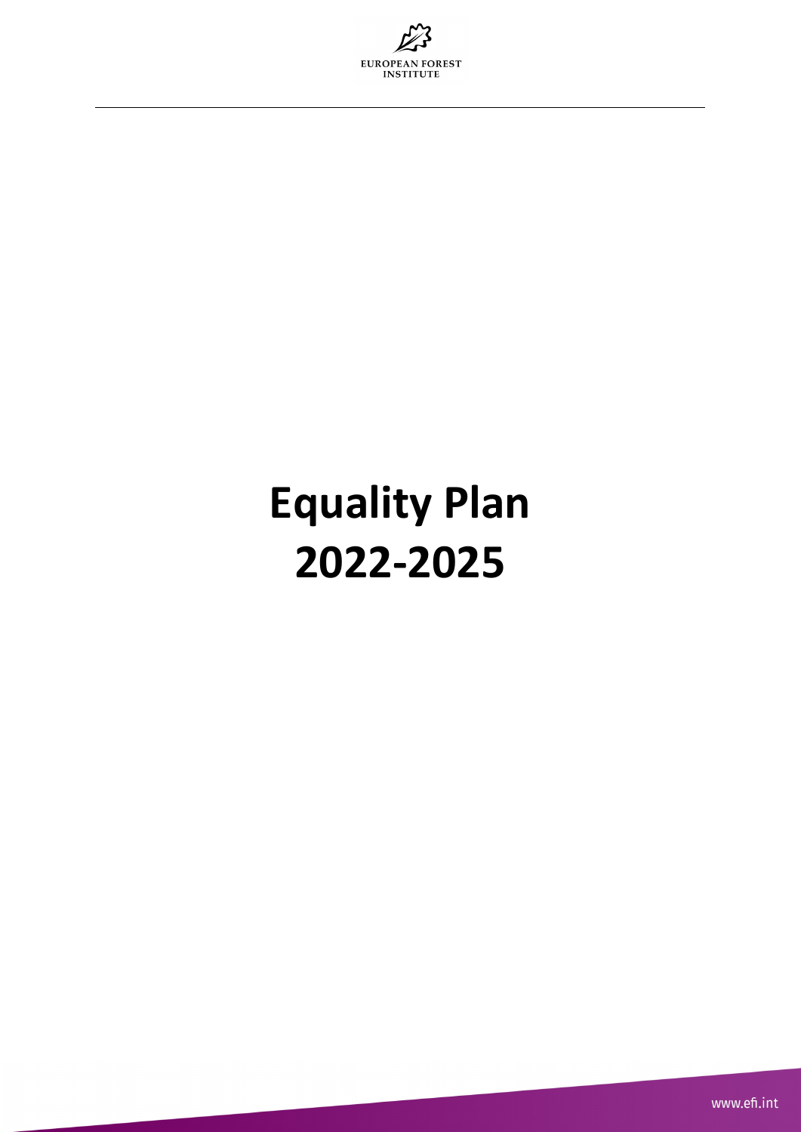

## **Equality Plan 2022-2025**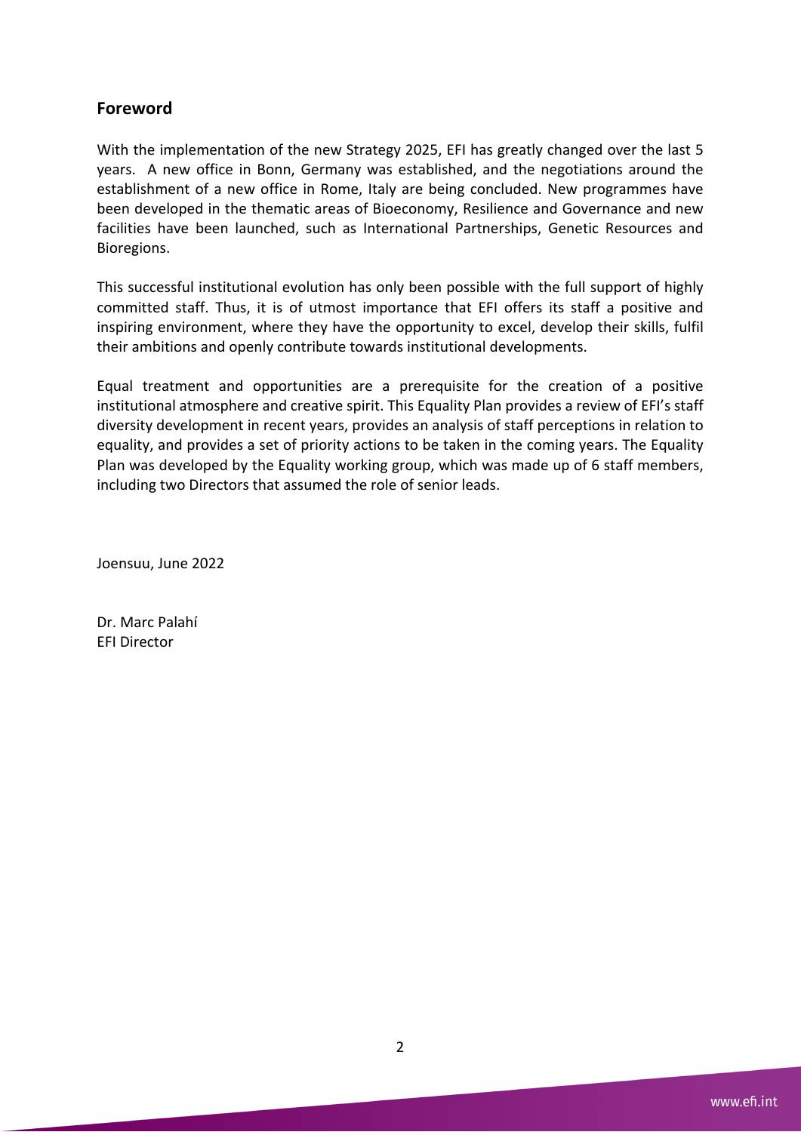### **Foreword**

With the implementation of the new Strategy 2025, EFI has greatly changed over the last 5 years. A new office in Bonn, Germany was established, and the negotiations around the establishment of a new office in Rome, Italy are being concluded. New programmes have been developed in the thematic areas of Bioeconomy, Resilience and Governance and new facilities have been launched, such as International Partnerships, Genetic Resources and Bioregions.

This successful institutional evolution has only been possible with the full support of highly committed staff. Thus, it is of utmost importance that EFI offers its staff a positive and inspiring environment, where they have the opportunity to excel, develop their skills, fulfil their ambitions and openly contribute towards institutional developments.

Equal treatment and opportunities are a prerequisite for the creation of a positive institutional atmosphere and creative spirit. This Equality Plan provides a review of EFI's staff diversity development in recent years, provides an analysis of staff perceptions in relation to equality, and provides a set of priority actions to be taken in the coming years. The Equality Plan was developed by the Equality working group, which was made up of 6 staff members, including two Directors that assumed the role of senior leads.

Joensuu, June 2022

Dr. Marc Palahí EFI Director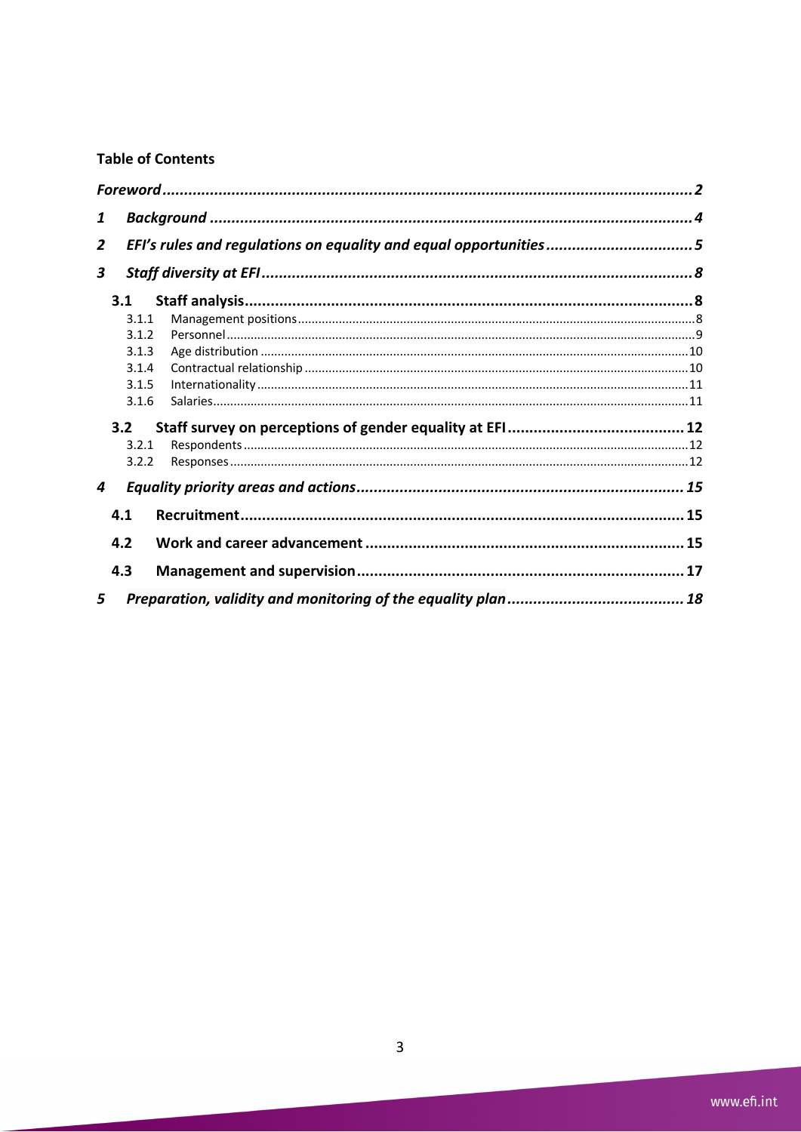## **Table of Contents**

| 1 |       |                                                                  |  |  |  |
|---|-------|------------------------------------------------------------------|--|--|--|
| 2 |       | EFI's rules and regulations on equality and equal opportunities5 |  |  |  |
| 3 |       |                                                                  |  |  |  |
|   | 3.1   |                                                                  |  |  |  |
|   | 3.1.1 |                                                                  |  |  |  |
|   | 3.1.2 |                                                                  |  |  |  |
|   | 3.1.3 |                                                                  |  |  |  |
|   | 3.1.4 |                                                                  |  |  |  |
|   | 3.1.5 |                                                                  |  |  |  |
|   | 3.1.6 |                                                                  |  |  |  |
|   | 3.2   |                                                                  |  |  |  |
|   | 3.2.1 |                                                                  |  |  |  |
|   | 3.2.2 |                                                                  |  |  |  |
| 4 |       |                                                                  |  |  |  |
|   | 4.1   |                                                                  |  |  |  |
|   | 4.2   |                                                                  |  |  |  |
|   | 4.3   |                                                                  |  |  |  |
| 5 |       |                                                                  |  |  |  |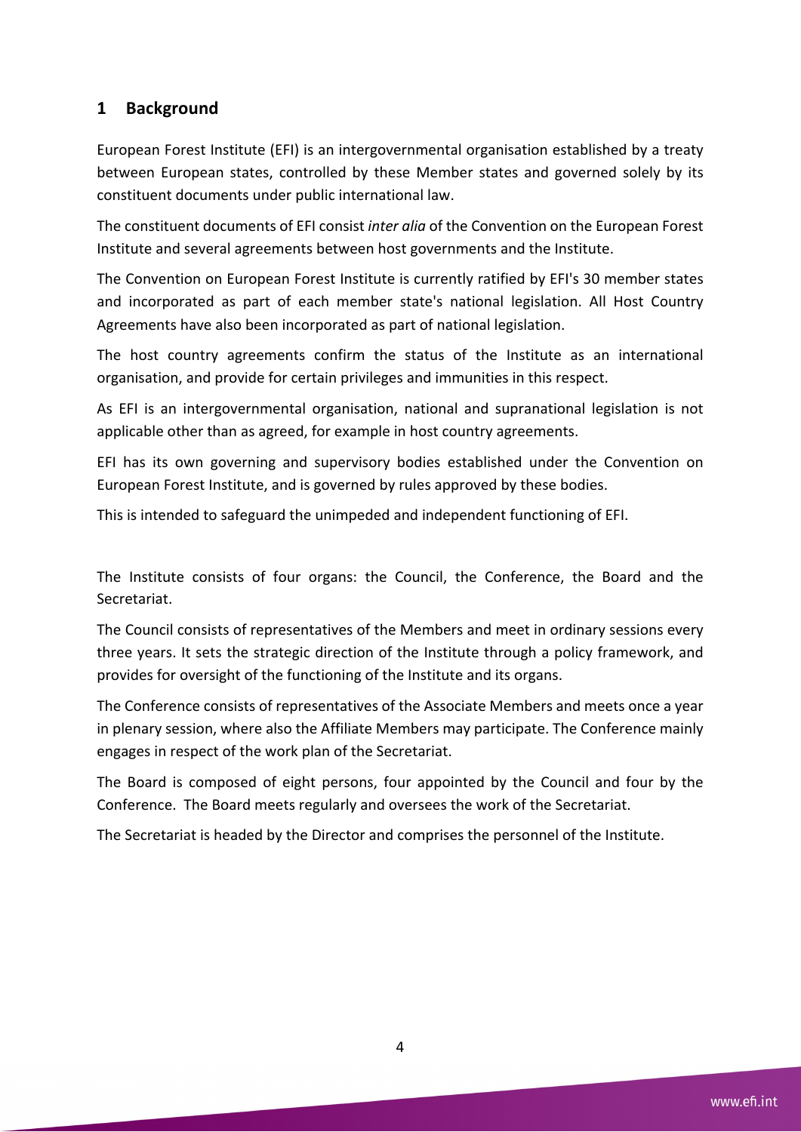## **1 Background**

European Forest Institute (EFI) is an intergovernmental organisation established by a treaty between European states, controlled by these Member states and governed solely by its constituent documents under public international law.

The constituent documents of EFI consist *inter alia* of the Convention on the European Forest Institute and several agreements between host governments and the Institute.

The Convention on European Forest Institute is currently ratified by EFI's 30 member states and incorporated as part of each member state's national legislation. All Host Country Agreements have also been incorporated as part of national legislation.

The host country agreements confirm the status of the Institute as an international organisation, and provide for certain privileges and immunities in this respect.

As EFI is an intergovernmental organisation, national and supranational legislation is not applicable other than as agreed, for example in host country agreements.

EFI has its own governing and supervisory bodies established under the Convention on European Forest Institute, and is governed by rules approved by these bodies.

This is intended to safeguard the unimpeded and independent functioning of EFI.

The Institute consists of four organs: the Council, the Conference, the Board and the Secretariat.

The Council consists of representatives of the Members and meet in ordinary sessions every three years. It sets the strategic direction of the Institute through a policy framework, and provides for oversight of the functioning of the Institute and its organs.

The Conference consists of representatives of the Associate Members and meets once a year in plenary session, where also the Affiliate Members may participate. The Conference mainly engages in respect of the work plan of the Secretariat.

The Board is composed of eight persons, four appointed by the Council and four by the Conference. The Board meets regularly and oversees the work of the Secretariat.

The Secretariat is headed by the Director and comprises the personnel of the Institute.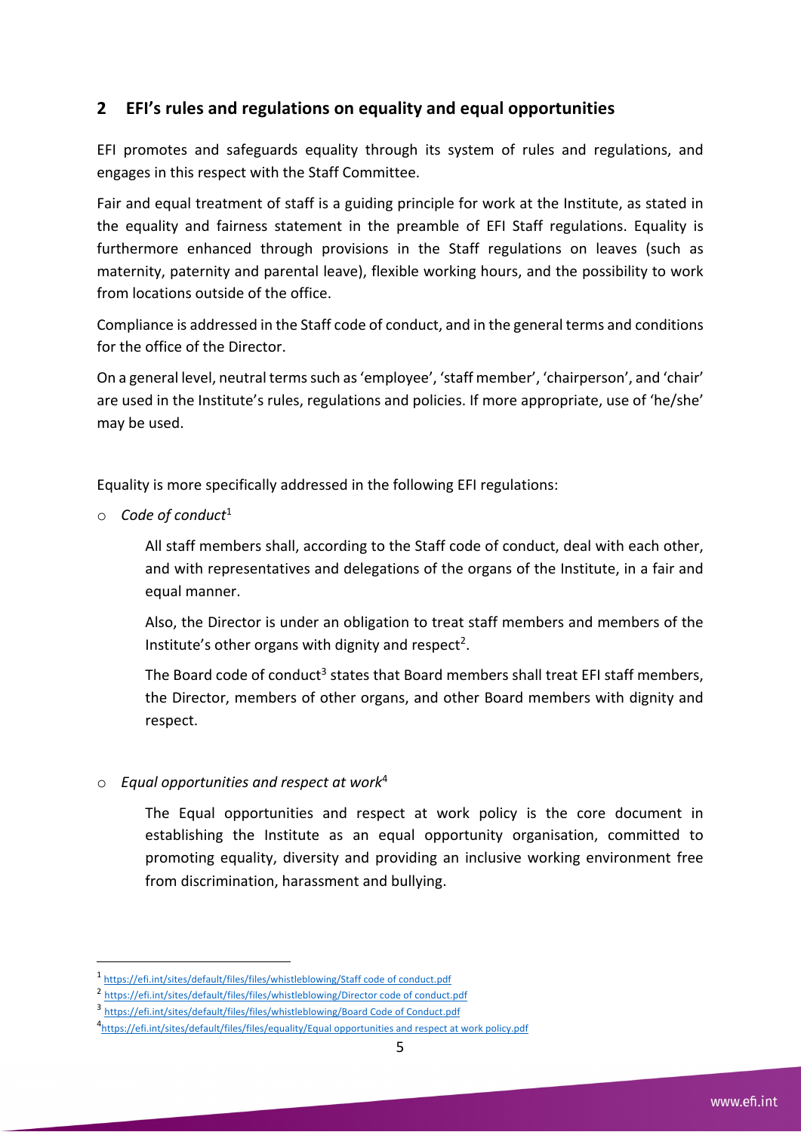## **2 EFI's rules and regulations on equality and equal opportunities**

EFI promotes and safeguards equality through its system of rules and regulations, and engages in this respect with the Staff Committee.

Fair and equal treatment of staff is a guiding principle for work at the Institute, as stated in the equality and fairness statement in the preamble of EFI Staff regulations. Equality is furthermore enhanced through provisions in the Staff regulations on leaves (such as maternity, paternity and parental leave), flexible working hours, and the possibility to work from locations outside of the office.

Compliance is addressed in the Staff code of conduct, and in the general terms and conditions for the office of the Director.

On a general level, neutral terms such as 'employee', 'staff member', 'chairperson', and 'chair' are used in the Institute's rules, regulations and policies. If more appropriate, use of 'he/she' may be used.

Equality is more specifically addressed in the following EFI regulations:

o *Code of conduct*<sup>1</sup>

All staff members shall, according to the Staff code of conduct, deal with each other, and with representatives and delegations of the organs of the Institute, in a fair and equal manner.

Also, the Director is under an obligation to treat staff members and members of the Institute's other organs with dignity and respect<sup>2</sup>.

The Board code of conduct<sup>3</sup> states that Board members shall treat EFI staff members, the Director, members of other organs, and other Board members with dignity and respect.

#### o *Equal opportunities and respect at work*<sup>4</sup>

The Equal opportunities and respect at work policy is the core document in establishing the Institute as an equal opportunity organisation, committed to promoting equality, diversity and providing an inclusive working environment free from discrimination, harassment and bullying.

<sup>1</sup> https://efi.int/sites/default/files/files/whistleblowing/Staff code of conduct.pdf

<sup>2</sup> https://efi.int/sites/default/files/files/whistleblowing/Director code of conduct.pdf

<sup>3</sup> https://efi.int/sites/default/files/files/whistleblowing/Board Code of Conduct.pdf

<sup>&</sup>lt;sup>4</sup>https://efi.int/sites/default/files/files/equality/Equal opportunities and respect at work policy.pdf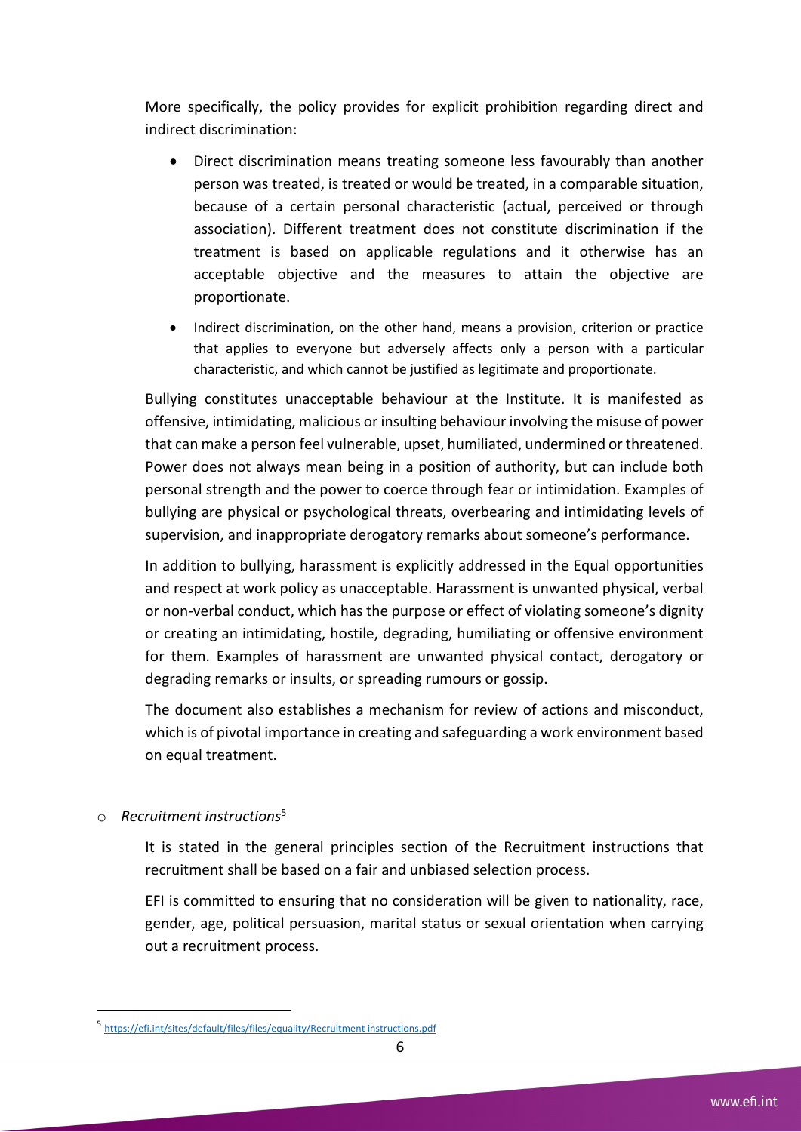More specifically, the policy provides for explicit prohibition regarding direct and indirect discrimination:

- Direct discrimination means treating someone less favourably than another person was treated, is treated or would be treated, in a comparable situation, because of a certain personal characteristic (actual, perceived or through association). Different treatment does not constitute discrimination if the treatment is based on applicable regulations and it otherwise has an acceptable objective and the measures to attain the objective are proportionate.
- Indirect discrimination, on the other hand, means a provision, criterion or practice that applies to everyone but adversely affects only a person with a particular characteristic, and which cannot be justified as legitimate and proportionate.

Bullying constitutes unacceptable behaviour at the Institute. It is manifested as offensive, intimidating, malicious or insulting behaviour involving the misuse of power that can make a person feel vulnerable, upset, humiliated, undermined or threatened. Power does not always mean being in a position of authority, but can include both personal strength and the power to coerce through fear or intimidation. Examples of bullying are physical or psychological threats, overbearing and intimidating levels of supervision, and inappropriate derogatory remarks about someone's performance.

In addition to bullying, harassment is explicitly addressed in the Equal opportunities and respect at work policy as unacceptable. Harassment is unwanted physical, verbal or non-verbal conduct, which has the purpose or effect of violating someone's dignity or creating an intimidating, hostile, degrading, humiliating or offensive environment for them. Examples of harassment are unwanted physical contact, derogatory or degrading remarks or insults, or spreading rumours or gossip.

The document also establishes a mechanism for review of actions and misconduct, which is of pivotal importance in creating and safeguarding a work environment based on equal treatment.

#### o *Recruitment instructions*<sup>5</sup>

It is stated in the general principles section of the Recruitment instructions that recruitment shall be based on a fair and unbiased selection process.

EFI is committed to ensuring that no consideration will be given to nationality, race, gender, age, political persuasion, marital status or sexual orientation when carrying out a recruitment process.

<sup>5</sup> https://efi.int/sites/default/files/files/equality/Recruitment instructions.pdf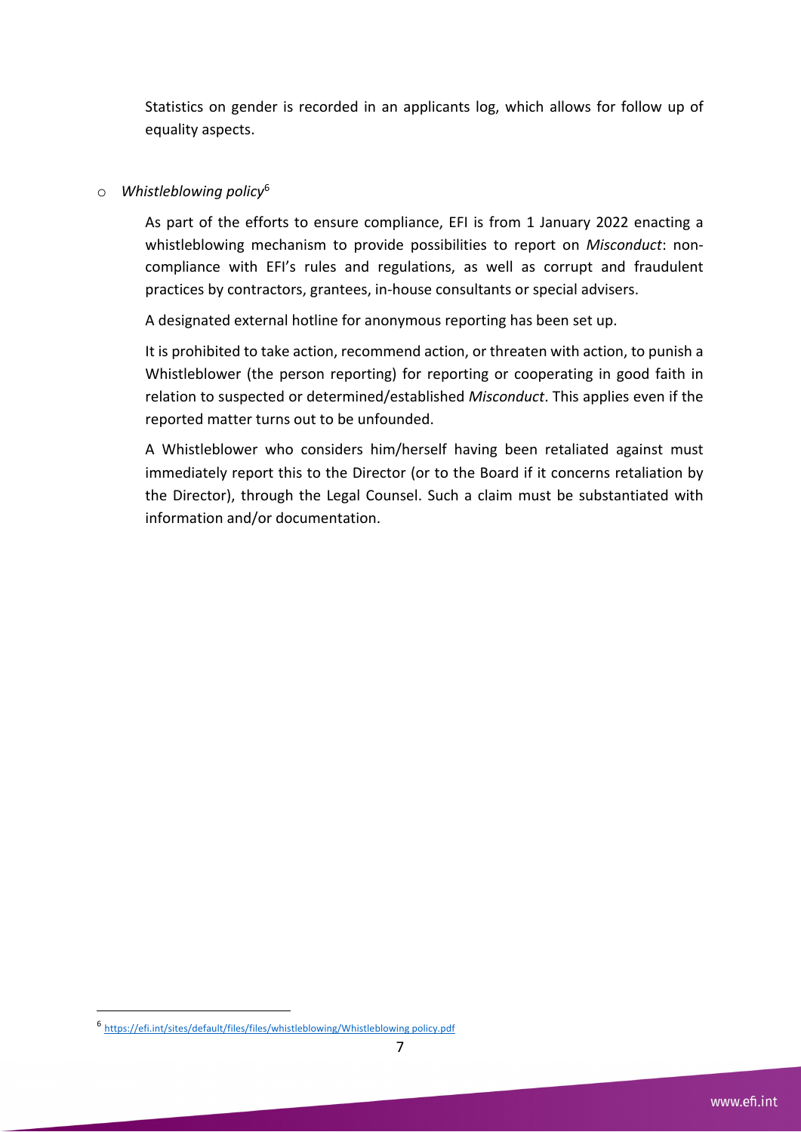Statistics on gender is recorded in an applicants log, which allows for follow up of equality aspects.

#### o *Whistleblowing policy*<sup>6</sup>

As part of the efforts to ensure compliance, EFI is from 1 January 2022 enacting a whistleblowing mechanism to provide possibilities to report on *Misconduct*: noncompliance with EFI's rules and regulations, as well as corrupt and fraudulent practices by contractors, grantees, in-house consultants or special advisers.

A designated external hotline for anonymous reporting has been set up.

It is prohibited to take action, recommend action, or threaten with action, to punish a Whistleblower (the person reporting) for reporting or cooperating in good faith in relation to suspected or determined/established *Misconduct*. This applies even if the reported matter turns out to be unfounded.

A Whistleblower who considers him/herself having been retaliated against must immediately report this to the Director (or to the Board if it concerns retaliation by the Director), through the Legal Counsel. Such a claim must be substantiated with information and/or documentation.

<sup>6</sup> https://efi.int/sites/default/files/files/whistleblowing/Whistleblowing policy.pdf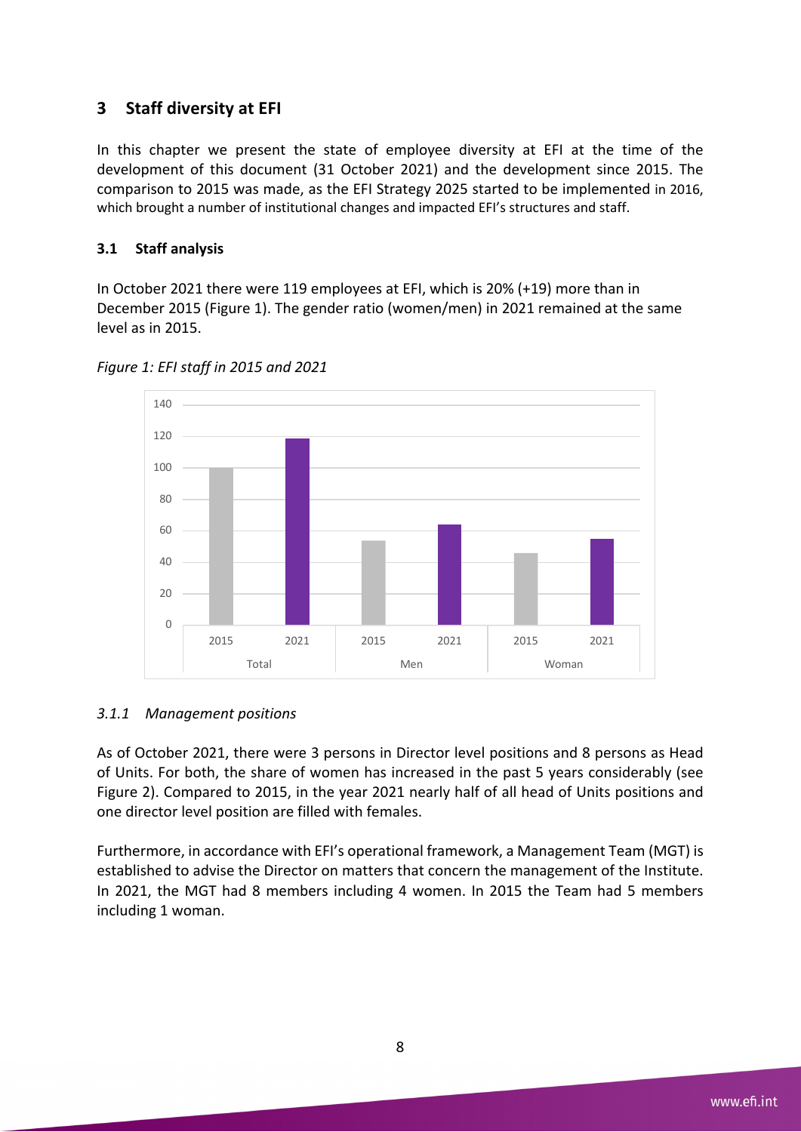## **3 Staff diversity at EFI**

In this chapter we present the state of employee diversity at EFI at the time of the development of this document (31 October 2021) and the development since 2015. The comparison to 2015 was made, as the EFI Strategy 2025 started to be implemented in 2016, which brought a number of institutional changes and impacted EFI's structures and staff.

#### **3.1 Staff analysis**

In October 2021 there were 119 employees at EFI, which is 20% (+19) more than in December 2015 (Figure 1). The gender ratio (women/men) in 2021 remained at the same level as in 2015.



*Figure 1: EFI staff in 2015 and 2021*

#### *3.1.1 Management positions*

As of October 2021, there were 3 persons in Director level positions and 8 persons as Head of Units. For both, the share of women has increased in the past 5 years considerably (see Figure 2). Compared to 2015, in the year 2021 nearly half of all head of Units positions and one director level position are filled with females.

Furthermore, in accordance with EFI's operational framework, a Management Team (MGT) is established to advise the Director on matters that concern the management of the Institute. In 2021, the MGT had 8 members including 4 women. In 2015 the Team had 5 members including 1 woman.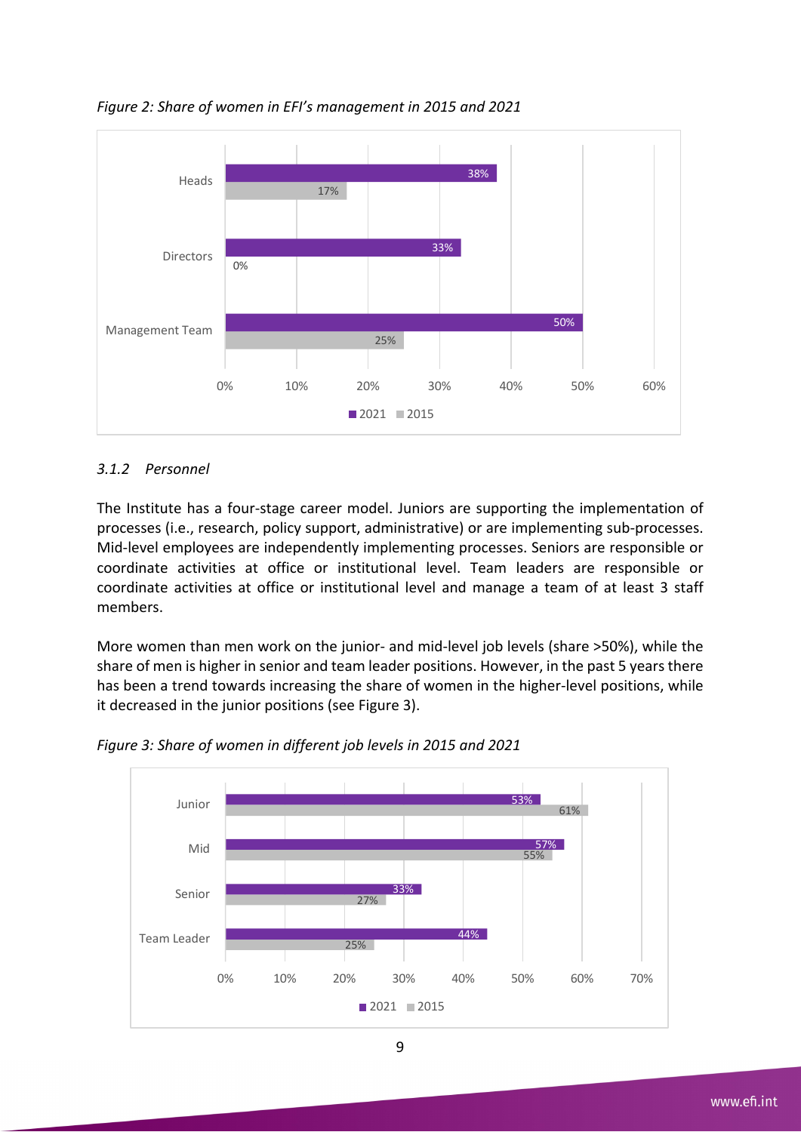

*Figure 2: Share of women in EFI's management in 2015 and 2021*

#### *3.1.2 Personnel*

The Institute has a four-stage career model. Juniors are supporting the implementation of processes (i.e., research, policy support, administrative) or are implementing sub-processes. Mid-level employees are independently implementing processes. Seniors are responsible or coordinate activities at office or institutional level. Team leaders are responsible or coordinate activities at office or institutional level and manage a team of at least 3 staff members.

More women than men work on the junior- and mid-level job levels (share >50%), while the share of men is higher in senior and team leader positions. However, in the past 5 years there has been a trend towards increasing the share of women in the higher-level positions, while it decreased in the junior positions (see Figure 3).



*Figure 3: Share of women in different job levels in 2015 and 2021*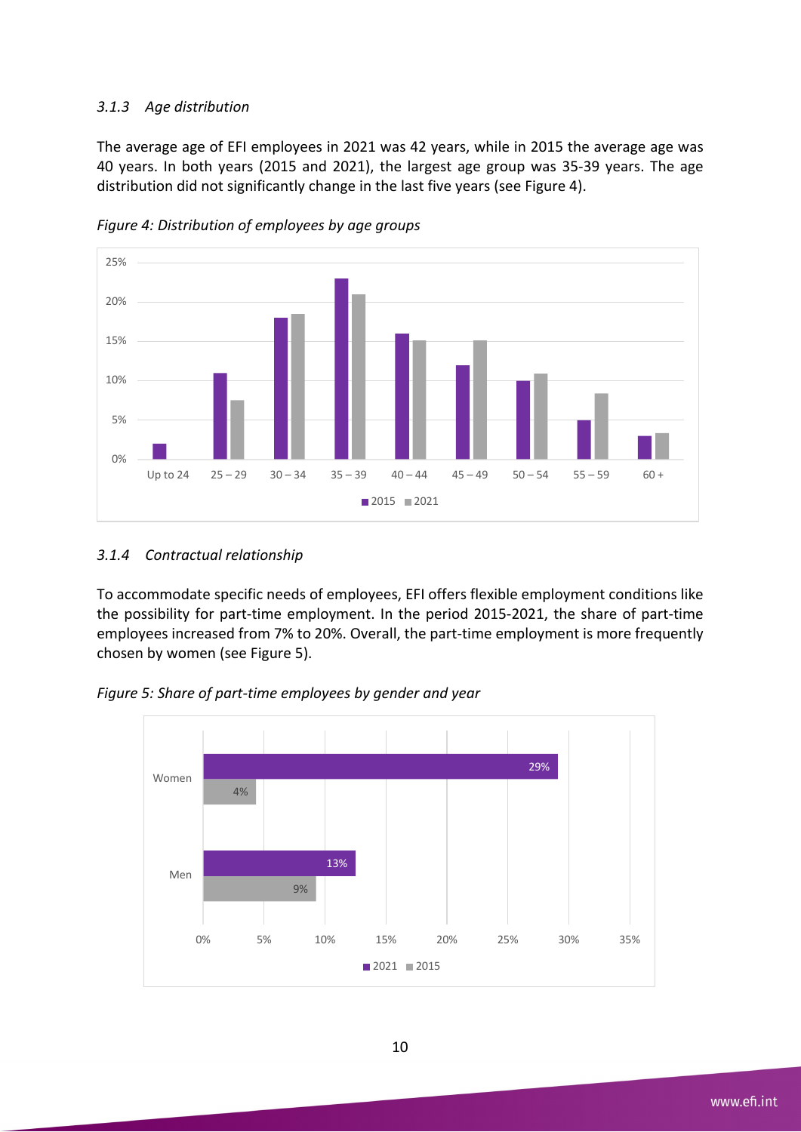#### *3.1.3 Age distribution*

The average age of EFI employees in 2021 was 42 years, while in 2015 the average age was 40 years. In both years (2015 and 2021), the largest age group was 35-39 years. The age distribution did not significantly change in the last five years (see Figure 4).



*Figure 4: Distribution of employees by age groups*

#### *3.1.4 Contractual relationship*

To accommodate specific needs of employees, EFI offers flexible employment conditions like the possibility for part-time employment. In the period 2015-2021, the share of part-time employees increased from 7% to 20%. Overall, the part-time employment is more frequently chosen by women (see Figure 5).



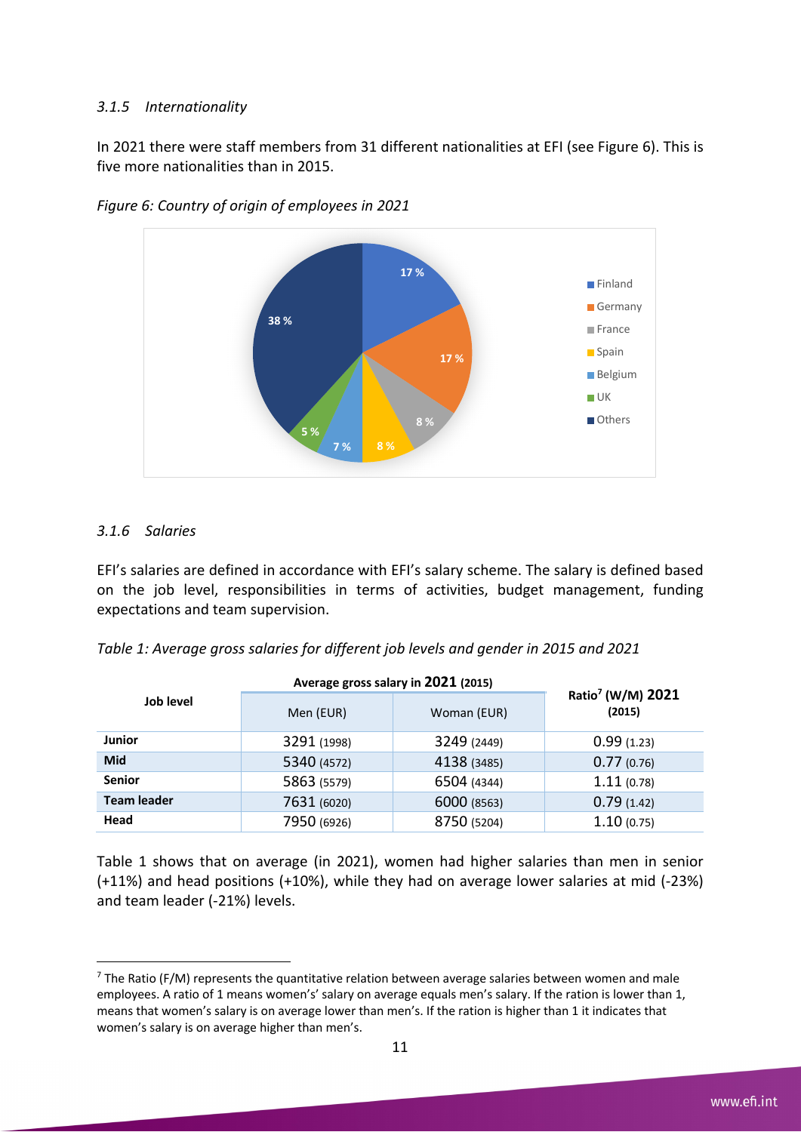#### *3.1.5 Internationality*

In 2021 there were staff members from 31 different nationalities at EFI (see Figure 6). This is five more nationalities than in 2015.



*Figure 6: Country of origin of employees in 2021*

#### *3.1.6 Salaries*

EFI's salaries are defined in accordance with EFI's salary scheme. The salary is defined based on the job level, responsibilities in terms of activities, budget management, funding expectations and team supervision.

|  | Table 1: Average gross salaries for different job levels and gender in 2015 and 2021 |  |
|--|--------------------------------------------------------------------------------------|--|
|  |                                                                                      |  |

|                    | Average gross salary in 2021 (2015) |             |                                         |  |
|--------------------|-------------------------------------|-------------|-----------------------------------------|--|
| Job level          | Men (EUR)                           | Woman (EUR) | Ratio <sup>7</sup> (W/M) 2021<br>(2015) |  |
| <b>Junior</b>      | 3291 (1998)                         | 3249 (2449) | 0.99(1.23)                              |  |
| Mid                | 5340 (4572)                         | 4138 (3485) | 0.77(0.76)                              |  |
| <b>Senior</b>      | 5863 (5579)                         | 6504 (4344) | 1.11(0.78)                              |  |
| <b>Team leader</b> | 7631 (6020)                         | 6000 (8563) | 0.79(1.42)                              |  |
| Head               | 7950 (6926)                         | 8750 (5204) | 1.10(0.75)                              |  |

Table 1 shows that on average (in 2021), women had higher salaries than men in senior (+11%) and head positions (+10%), while they had on average lower salaries at mid (-23%) and team leader (-21%) levels.

 $7$  The Ratio (F/M) represents the quantitative relation between average salaries between women and male employees. A ratio of 1 means women's' salary on average equals men's salary. If the ration is lower than 1, means that women's salary is on average lower than men's. If the ration is higher than 1 it indicates that women's salary is on average higher than men's.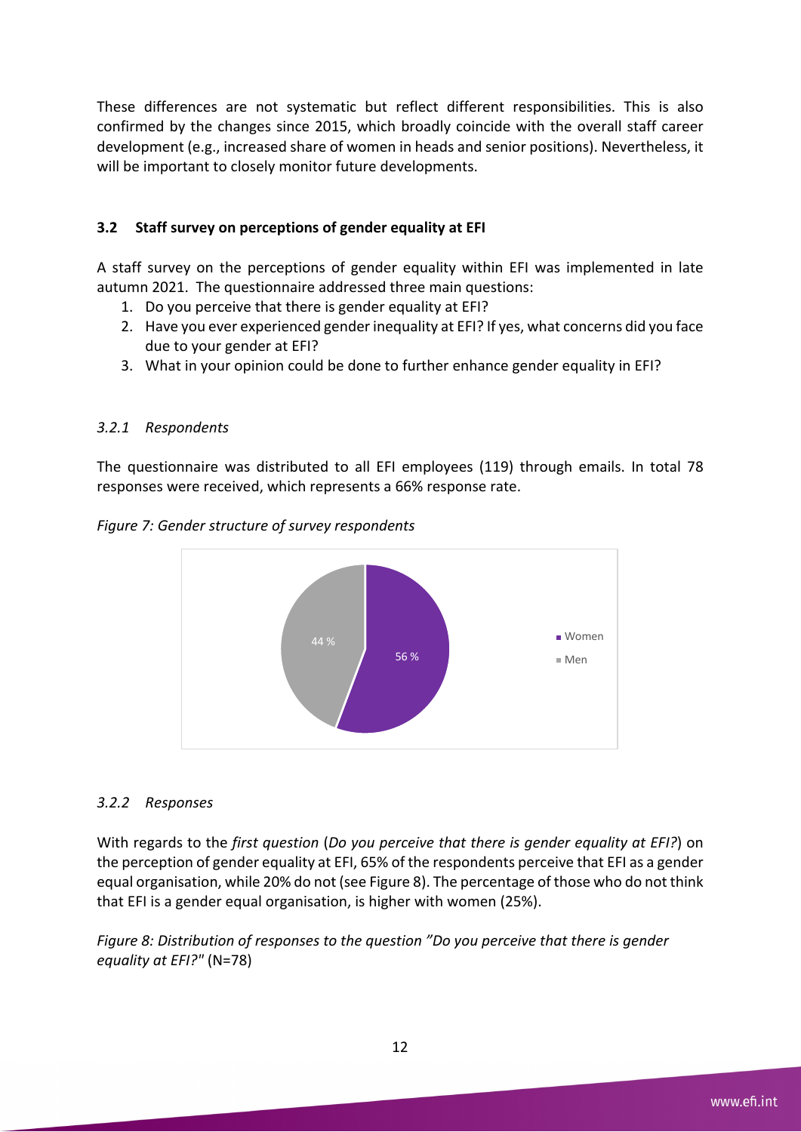These differences are not systematic but reflect different responsibilities. This is also confirmed by the changes since 2015, which broadly coincide with the overall staff career development (e.g., increased share of women in heads and senior positions). Nevertheless, it will be important to closely monitor future developments.

#### **3.2 Staff survey on perceptions of gender equality at EFI**

A staff survey on the perceptions of gender equality within EFI was implemented in late autumn 2021. The questionnaire addressed three main questions:

- 1. Do you perceive that there is gender equality at EFI?
- 2. Have you ever experienced gender inequality at EFI? If yes, what concerns did you face due to your gender at EFI?
- 3. What in your opinion could be done to further enhance gender equality in EFI?

#### *3.2.1 Respondents*

The questionnaire was distributed to all EFI employees (119) through emails. In total 78 responses were received, which represents a 66% response rate.





#### *3.2.2 Responses*

With regards to the *first question* (*Do you perceive that there is gender equality at EFI?*) on the perception of gender equality at EFI, 65% of the respondents perceive that EFI as a gender equal organisation, while 20% do not (see Figure 8). The percentage of those who do not think that EFI is a gender equal organisation, is higher with women (25%).

*Figure 8: Distribution of responses to the question "Do you perceive that there is gender equality at EFI?"* (N=78)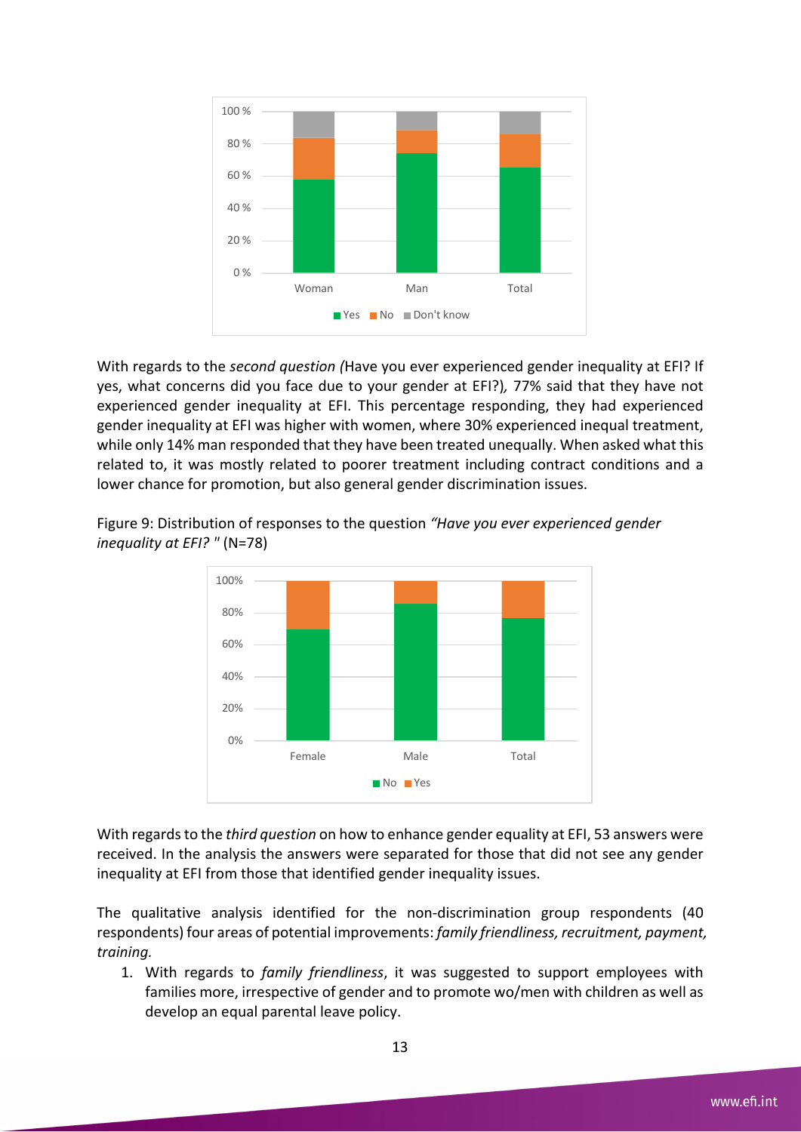

With regards to the *second question (*Have you ever experienced gender inequality at EFI? If yes, what concerns did you face due to your gender at EFI?)*,* 77% said that they have not experienced gender inequality at EFI. This percentage responding, they had experienced gender inequality at EFI was higher with women, where 30% experienced inequal treatment, while only 14% man responded that they have been treated unequally. When asked what this related to, it was mostly related to poorer treatment including contract conditions and a lower chance for promotion, but also general gender discrimination issues.



Figure 9: Distribution of responses to the question *"Have you ever experienced gender inequality at EFI? "* (N=78)

With regards to the *third question* on how to enhance gender equality at EFI, 53 answers were received. In the analysis the answers were separated for those that did not see any gender inequality at EFI from those that identified gender inequality issues.

The qualitative analysis identified for the non-discrimination group respondents (40 respondents) four areas of potential improvements: *family friendliness, recruitment, payment, training.*

1. With regards to *family friendliness*, it was suggested to support employees with families more, irrespective of gender and to promote wo/men with children as well as develop an equal parental leave policy.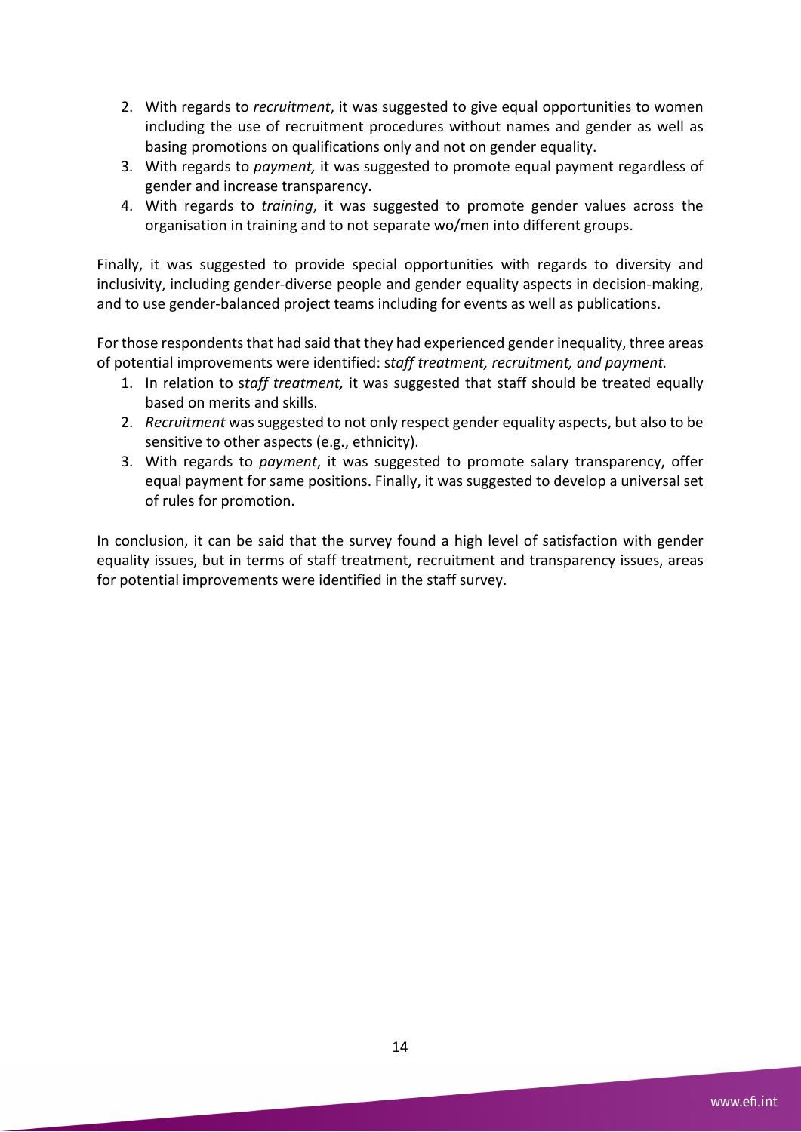- 2. With regards to *recruitment*, it was suggested to give equal opportunities to women including the use of recruitment procedures without names and gender as well as basing promotions on qualifications only and not on gender equality.
- 3. With regards to *payment,* it was suggested to promote equal payment regardless of gender and increase transparency.
- 4. With regards to *training*, it was suggested to promote gender values across the organisation in training and to not separate wo/men into different groups.

Finally, it was suggested to provide special opportunities with regards to diversity and inclusivity, including gender-diverse people and gender equality aspects in decision-making, and to use gender-balanced project teams including for events as well as publications.

For those respondents that had said that they had experienced gender inequality, three areas of potential improvements were identified: s*taff treatment, recruitment, and payment.*

- 1. In relation to s*taff treatment,* it was suggested that staff should be treated equally based on merits and skills.
- 2. *Recruitment* was suggested to not only respect gender equality aspects, but also to be sensitive to other aspects (e.g., ethnicity).
- 3. With regards to *payment*, it was suggested to promote salary transparency, offer equal payment for same positions. Finally, it was suggested to develop a universal set of rules for promotion.

In conclusion, it can be said that the survey found a high level of satisfaction with gender equality issues, but in terms of staff treatment, recruitment and transparency issues, areas for potential improvements were identified in the staff survey.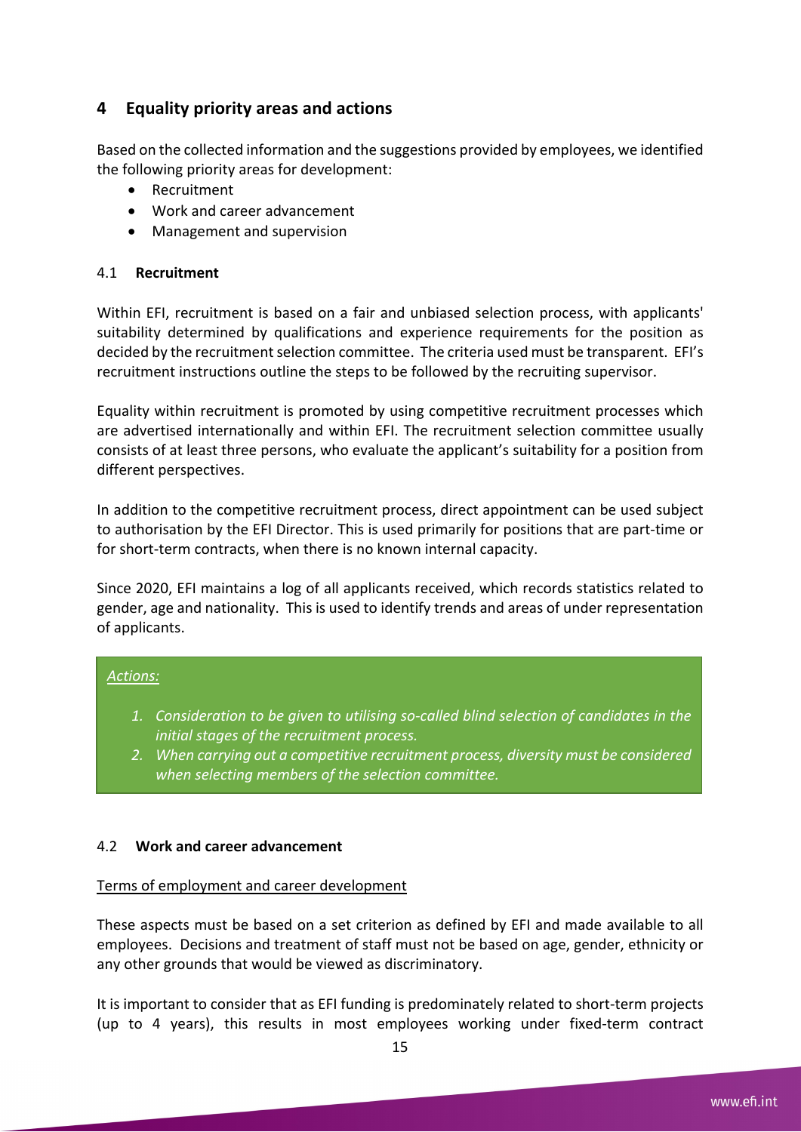## **4 Equality priority areas and actions**

Based on the collected information and the suggestions provided by employees, we identified the following priority areas for development:

- Recruitment
- Work and career advancement
- Management and supervision

#### 4.1 **Recruitment**

Within EFI, recruitment is based on a fair and unbiased selection process, with applicants' suitability determined by qualifications and experience requirements for the position as decided by the recruitment selection committee. The criteria used must be transparent. EFI's recruitment instructions outline the steps to be followed by the recruiting supervisor.

Equality within recruitment is promoted by using competitive recruitment processes which are advertised internationally and within EFI. The recruitment selection committee usually consists of at least three persons, who evaluate the applicant's suitability for a position from different perspectives.

In addition to the competitive recruitment process, direct appointment can be used subject to authorisation by the EFI Director. This is used primarily for positions that are part-time or for short-term contracts, when there is no known internal capacity.

Since 2020, EFI maintains a log of all applicants received, which records statistics related to gender, age and nationality. This is used to identify trends and areas of under representation of applicants.

# *Actions:*

- *1. Consideration to be given to utilising so-called blind selection of candidates in the initial stages of the recruitment process.*
- *2. When carrying out a competitive recruitment process, diversity must be considered when selecting members of the selection committee.*

#### 4.2 **Work and career advancement**

#### Terms of employment and career development

These aspects must be based on a set criterion as defined by EFI and made available to all employees. Decisions and treatment of staff must not be based on age, gender, ethnicity or any other grounds that would be viewed as discriminatory.

It is important to consider that as EFI funding is predominately related to short-term projects (up to 4 years), this results in most employees working under fixed-term contract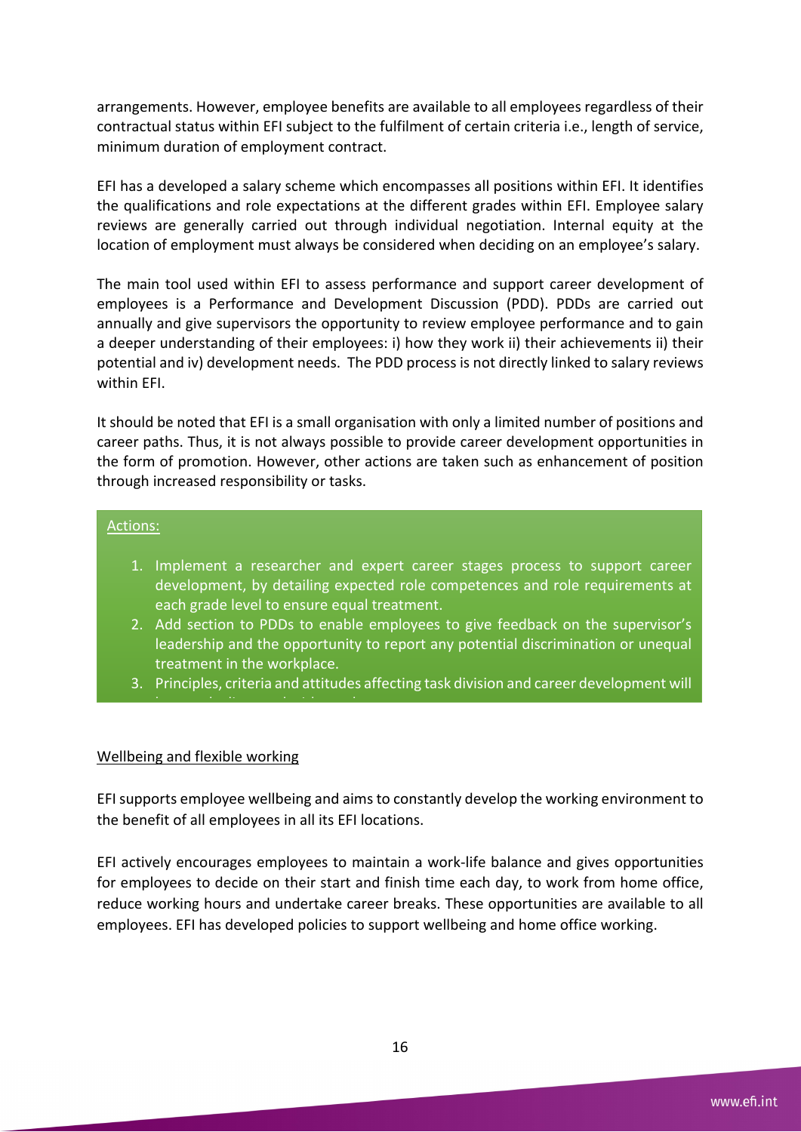arrangements. However, employee benefits are available to all employees regardless of their contractual status within EFI subject to the fulfilment of certain criteria i.e., length of service, minimum duration of employment contract.

EFI has a developed a salary scheme which encompasses all positions within EFI. It identifies the qualifications and role expectations at the different grades within EFI. Employee salary reviews are generally carried out through individual negotiation. Internal equity at the location of employment must always be considered when deciding on an employee's salary.

The main tool used within EFI to assess performance and support career development of employees is a Performance and Development Discussion (PDD). PDDs are carried out annually and give supervisors the opportunity to review employee performance and to gain a deeper understanding of their employees: i) how they work ii) their achievements ii) their potential and iv) development needs. The PDD process is not directly linked to salary reviews within EFI.

It should be noted that EFI is a small organisation with only a limited number of positions and career paths. Thus, it is not always possible to provide career development opportunities in the form of promotion. However, other actions are taken such as enhancement of position through increased responsibility or tasks.

#### Actions:

- 1. Implement a researcher and expert career stages process to support career development, by detailing expected role competences and role requirements at each grade level to ensure equal treatment.
- 2. Add section to PDDs to enable employees to give feedback on the supervisor's leadership and the opportunity to report any potential discrimination or unequal treatment in the workplace.
- 3. Principles, criteria and attitudes affecting task division and career development will

#### Wellbeing and flexible working

be openly discussed with employees.

EFI supports employee wellbeing and aims to constantly develop the working environment to the benefit of all employees in all its EFI locations.

EFI actively encourages employees to maintain a work-life balance and gives opportunities for employees to decide on their start and finish time each day, to work from home office, reduce working hours and undertake career breaks. These opportunities are available to all employees. EFI has developed policies to support wellbeing and home office working.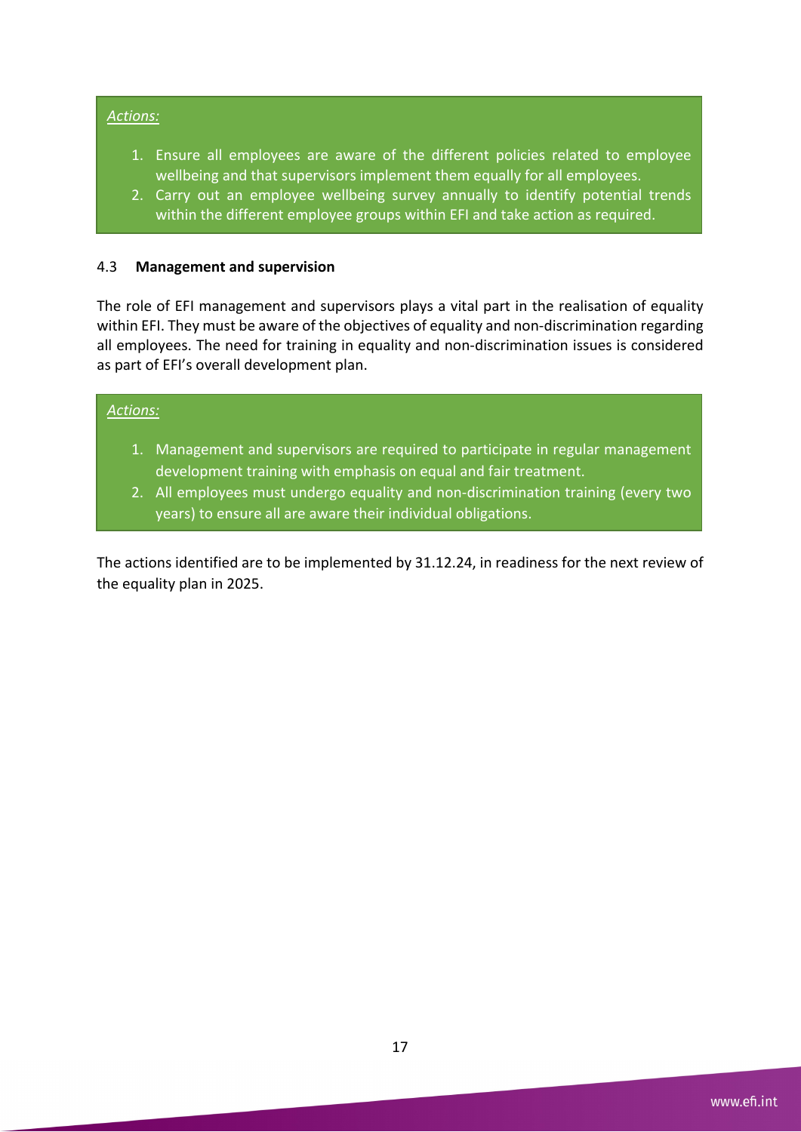#### *Actions:*

- 1. Ensure all employees are aware of the different policies related to employee wellbeing and that supervisors implement them equally for all employees.
- 2. Carry out an employee wellbeing survey annually to identify potential trends within the different employee groups within EFI and take action as required.

#### 4.3 **Management and supervision**

The role of EFI management and supervisors plays a vital part in the realisation of equality within EFI. They must be aware of the objectives of equality and non-discrimination regarding all employees. The need for training in equality and non-discrimination issues is considered as part of EFI's overall development plan.

#### *Actions:*

- 1. Management and supervisors are required to participate in regular management development training with emphasis on equal and fair treatment.
- 2. All employees must undergo equality and non-discrimination training (every two years) to ensure all are aware their individual obligations.

The actions identified are to be implemented by 31.12.24, in readiness for the next review of the equality plan in 2025.